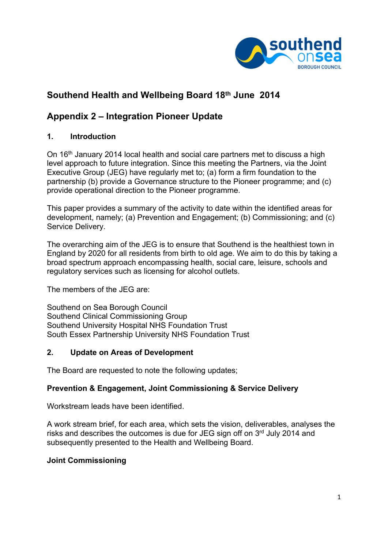

# **Southend Health and Wellbeing Board 18th June 2014**

## **Appendix 2 – Integration Pioneer Update**

## **1. Introduction**

On 16th January 2014 local health and social care partners met to discuss a high level approach to future integration. Since this meeting the Partners, via the Joint Executive Group (JEG) have regularly met to; (a) form a firm foundation to the partnership (b) provide a Governance structure to the Pioneer programme; and (c) provide operational direction to the Pioneer programme.

This paper provides a summary of the activity to date within the identified areas for development, namely; (a) Prevention and Engagement; (b) Commissioning; and (c) Service Delivery.

The overarching aim of the JEG is to ensure that Southend is the healthiest town in England by 2020 for all residents from birth to old age. We aim to do this by taking a broad spectrum approach encompassing health, social care, leisure, schools and regulatory services such as licensing for alcohol outlets.

The members of the JEG are:

Southend on Sea Borough Council Southend Clinical Commissioning Group Southend University Hospital NHS Foundation Trust South Essex Partnership University NHS Foundation Trust

#### **2. Update on Areas of Development**

The Board are requested to note the following updates;

#### **Prevention & Engagement, Joint Commissioning & Service Delivery**

Workstream leads have been identified.

A work stream brief, for each area, which sets the vision, deliverables, analyses the risks and describes the outcomes is due for JEG sign off on 3<sup>rd</sup> July 2014 and subsequently presented to the Health and Wellbeing Board.

#### **Joint Commissioning**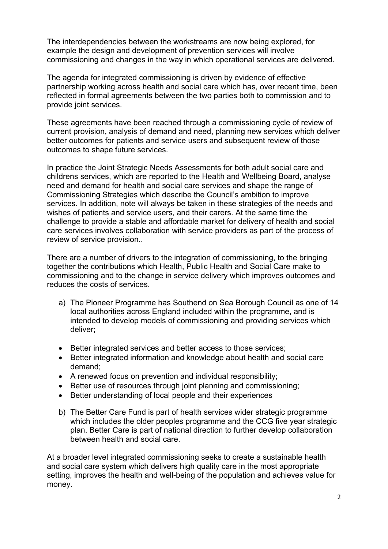The interdependencies between the workstreams are now being explored, for example the design and development of prevention services will involve commissioning and changes in the way in which operational services are delivered.

The agenda for integrated commissioning is driven by evidence of effective partnership working across health and social care which has, over recent time, been reflected in formal agreements between the two parties both to commission and to provide joint services.

These agreements have been reached through a commissioning cycle of review of current provision, analysis of demand and need, planning new services which deliver better outcomes for patients and service users and subsequent review of those outcomes to shape future services.

In practice the Joint Strategic Needs Assessments for both adult social care and childrens services, which are reported to the Health and Wellbeing Board, analyse need and demand for health and social care services and shape the range of Commissioning Strategies which describe the Council's ambition to improve services. In addition, note will always be taken in these strategies of the needs and wishes of patients and service users, and their carers. At the same time the challenge to provide a stable and affordable market for delivery of health and social care services involves collaboration with service providers as part of the process of review of service provision..

There are a number of drivers to the integration of commissioning, to the bringing together the contributions which Health, Public Health and Social Care make to commissioning and to the change in service delivery which improves outcomes and reduces the costs of services.

- a) The Pioneer Programme has Southend on Sea Borough Council as one of 14 local authorities across England included within the programme, and is intended to develop models of commissioning and providing services which deliver;
- Better integrated services and better access to those services;
- Better integrated information and knowledge about health and social care demand;
- A renewed focus on prevention and individual responsibility;
- Better use of resources through joint planning and commissioning;
- Better understanding of local people and their experiences
- b) The Better Care Fund is part of health services wider strategic programme which includes the older peoples programme and the CCG five year strategic plan. Better Care is part of national direction to further develop collaboration between health and social care.

At a broader level integrated commissioning seeks to create a sustainable health and social care system which delivers high quality care in the most appropriate setting, improves the health and well-being of the population and achieves value for money.